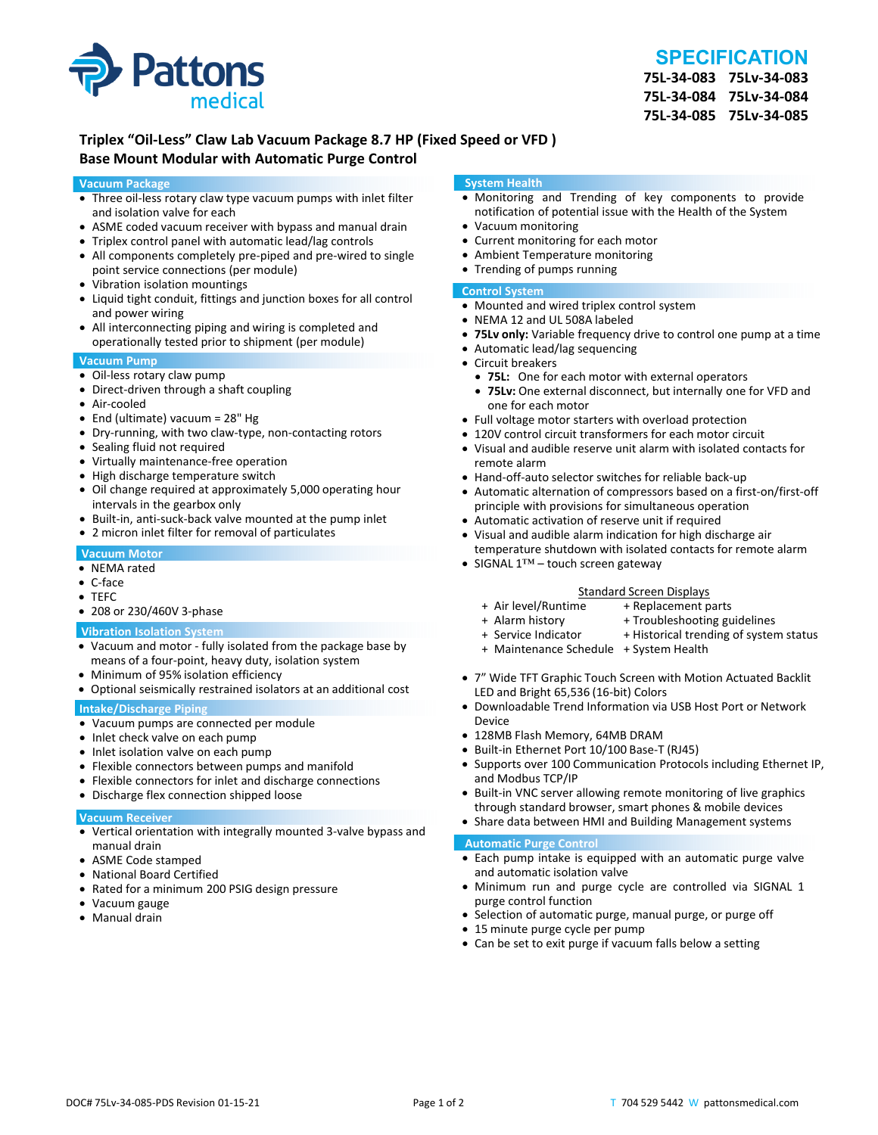



**75L‐34‐083 75Lv‐34‐083 75L‐34‐084 75Lv‐34‐084 75L‐34‐085 75Lv‐34‐085**

# **Triplex "Oil‐Less" Claw Lab Vacuum Package 8.7 HP (Fixed Speed or VFD ) Base Mount Modular with Automatic Purge Control**

#### **Vacuum Package**

- Three oil-less rotary claw type vacuum pumps with inlet filter and isolation valve for each
- ASME coded vacuum receiver with bypass and manual drain
- Triplex control panel with automatic lead/lag controls
- All components completely pre-piped and pre-wired to single point service connections (per module)
- Vibration isolation mountings
- Liquid tight conduit, fittings and junction boxes for all control and power wiring
- All interconnecting piping and wiring is completed and operationally tested prior to shipment (per module)

#### **Vacuum Pump**

- Oil-less rotary claw pump
- Direct-driven through a shaft coupling
- Air‐cooled
- End (ultimate) vacuum = 28" Hg
- Dry-running, with two claw-type, non-contacting rotors
- Sealing fluid not required
- Virtually maintenance-free operation
- High discharge temperature switch
- Oil change required at approximately 5,000 operating hour intervals in the gearbox only
- Built-in, anti-suck-back valve mounted at the pump inlet
- 2 micron inlet filter for removal of particulates

#### **Vacuum Motor**

- NEMA rated
- C‐face
- TEFC
- 208 or 230/460V 3‐phase

#### **Vibration Isolation System**

- Vacuum and motor ‐ fully isolated from the package base by means of a four‐point, heavy duty, isolation system
- Minimum of 95% isolation efficiency
- Optional seismically restrained isolators at an additional cost

#### **Intake/Discharge Piping**

- Vacuum pumps are connected per module
- Inlet check valve on each pump
- Inlet isolation valve on each pump
- Flexible connectors between pumps and manifold
- Flexible connectors for inlet and discharge connections
- Discharge flex connection shipped loose

# **Vacuum Receiver**

- Vertical orientation with integrally mounted 3‐valve bypass and manual drain
- ASME Code stamped
- National Board Certified
- Rated for a minimum 200 PSIG design pressure
- Vacuum gauge
- Manual drain

#### **System Health**

- Monitoring and Trending of key components to provide notification of potential issue with the Health of the System
- Vacuum monitoring
- Current monitoring for each motor
- Ambient Temperature monitoring
- Trending of pumps running

### **Control System**

- Mounted and wired triplex control system
- NEMA 12 and UL 508A labeled
- **75Lv only:** Variable frequency drive to control one pump at a time
- Automatic lead/lag sequencing
- Circuit breakers
- **75L:** One for each motor with external operators
- **75Lv:** One external disconnect, but internally one for VFD and one for each motor
- Full voltage motor starters with overload protection
- 120V control circuit transformers for each motor circuit
- Visual and audible reserve unit alarm with isolated contacts for remote alarm
- Hand-off-auto selector switches for reliable back-up
- Automatic alternation of compressors based on a first‐on/first‐off principle with provisions for simultaneous operation
- Automatic activation of reserve unit if required
- Visual and audible alarm indication for high discharge air temperature shutdown with isolated contacts for remote alarm
- SIGNAL 1™ touch screen gateway

# Standard Screen Displays<br>Air level/Runtime + Replacement p +

- + Air level/Runtime + Replacement parts
- 
- + Troubleshooting guidelines
- + Service Indicator + Historical trending of system status
- + Maintenance Schedule + System Health
- 7" Wide TFT Graphic Touch Screen with Motion Actuated Backlit LED and Bright 65,536 (16‐bit) Colors
- Downloadable Trend Information via USB Host Port or Network Device
- 128MB Flash Memory, 64MB DRAM
- Built-in Ethernet Port 10/100 Base-T (RJ45)
- Supports over 100 Communication Protocols including Ethernet IP, and Modbus TCP/IP
- Built-in VNC server allowing remote monitoring of live graphics through standard browser, smart phones & mobile devices
- Share data between HMI and Building Management systems

#### **Automatic Purge Control**

- Each pump intake is equipped with an automatic purge valve and automatic isolation valve
- Minimum run and purge cycle are controlled via SIGNAL 1 purge control function
- Selection of automatic purge, manual purge, or purge off
- 15 minute purge cycle per pump
- Can be set to exit purge if vacuum falls below a setting